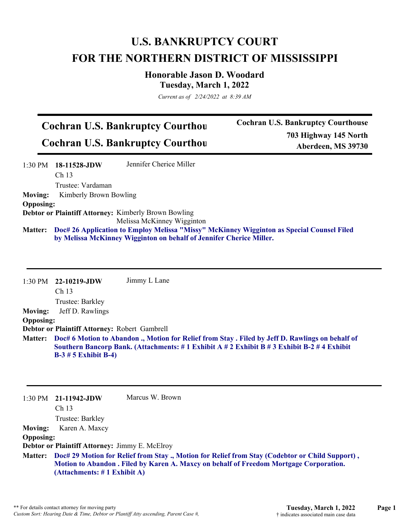## **U.S. BANKRUPTCY COURT FOR THE NORTHERN DISTRICT OF MISSISSIPPI**

**Honorable Jason D. Woodard Tuesday, March 1, 2022**

*Current as of 2/24/2022 at 8:39 AM*

## **Cochran U.S. Bankruptcy Courthou Cochran U.S. Bankruptcy Courthou**

**Cochran U.S. Bankruptcy Courthouse 703 Highway 145 North Aberdeen, MS 39730**

|                  | 1:30 PM 18-11528-JDW                                                                              | Jennifer Cherice Miller                                     |  |  |
|------------------|---------------------------------------------------------------------------------------------------|-------------------------------------------------------------|--|--|
|                  | Ch <sub>13</sub>                                                                                  |                                                             |  |  |
|                  | Trustee: Vardaman                                                                                 |                                                             |  |  |
| <b>Moving:</b>   | Kimberly Brown Bowling                                                                            |                                                             |  |  |
| <b>Opposing:</b> |                                                                                                   |                                                             |  |  |
|                  |                                                                                                   | <b>Debtor or Plaintiff Attorney: Kimberly Brown Bowling</b> |  |  |
|                  |                                                                                                   | Melissa McKinney Wigginton                                  |  |  |
|                  | Matter: Doc# 26 Application to Employ Melissa "Missy" McKinney Wigginton as Special Counsel Filed |                                                             |  |  |
|                  | by Melissa McKinney Wigginton on behalf of Jennifer Cherice Miller.                               |                                                             |  |  |

|                                                      | $1:30$ PM $22-10219$ -JDW<br>Ch <sub>13</sub>                                                                                                                                                                                                                                                                    | Jimmy L Lane    |  |  |  |
|------------------------------------------------------|------------------------------------------------------------------------------------------------------------------------------------------------------------------------------------------------------------------------------------------------------------------------------------------------------------------|-----------------|--|--|--|
| <b>Moving:</b><br><b>Opposing:</b><br><b>Matter:</b> | Trustee: Barkley<br>Jeff D. Rawlings<br>Debtor or Plaintiff Attorney: Robert Gambrell<br>Doc# 6 Motion to Abandon ., Motion for Relief from Stay . Filed by Jeff D. Rawlings on behalf of<br>Southern Bancorp Bank. (Attachments: #1 Exhibit A #2 Exhibit B #3 Exhibit B-2 #4 Exhibit<br>$B-3 \# 5$ Exhibit B-4) |                 |  |  |  |
| $1:30 \text{ PM}$                                    | 21-11942-JDW<br>Ch <sub>13</sub><br>Trustee: Barkley                                                                                                                                                                                                                                                             | Marcus W. Brown |  |  |  |
| <b>Moving:</b>                                       | Karen A. Maxcy                                                                                                                                                                                                                                                                                                   |                 |  |  |  |
| <b>Opposing:</b>                                     |                                                                                                                                                                                                                                                                                                                  |                 |  |  |  |
|                                                      | Debtor or Plaintiff Attorney: Jimmy E. McElroy                                                                                                                                                                                                                                                                   |                 |  |  |  |

**Doc# 29 Motion for Relief from Stay ., Motion for Relief from Stay (Codebtor or Child Support) , Matter: Motion to Abandon . Filed by Karen A. Maxcy on behalf of Freedom Mortgage Corporation. (Attachments: # 1 Exhibit A)**